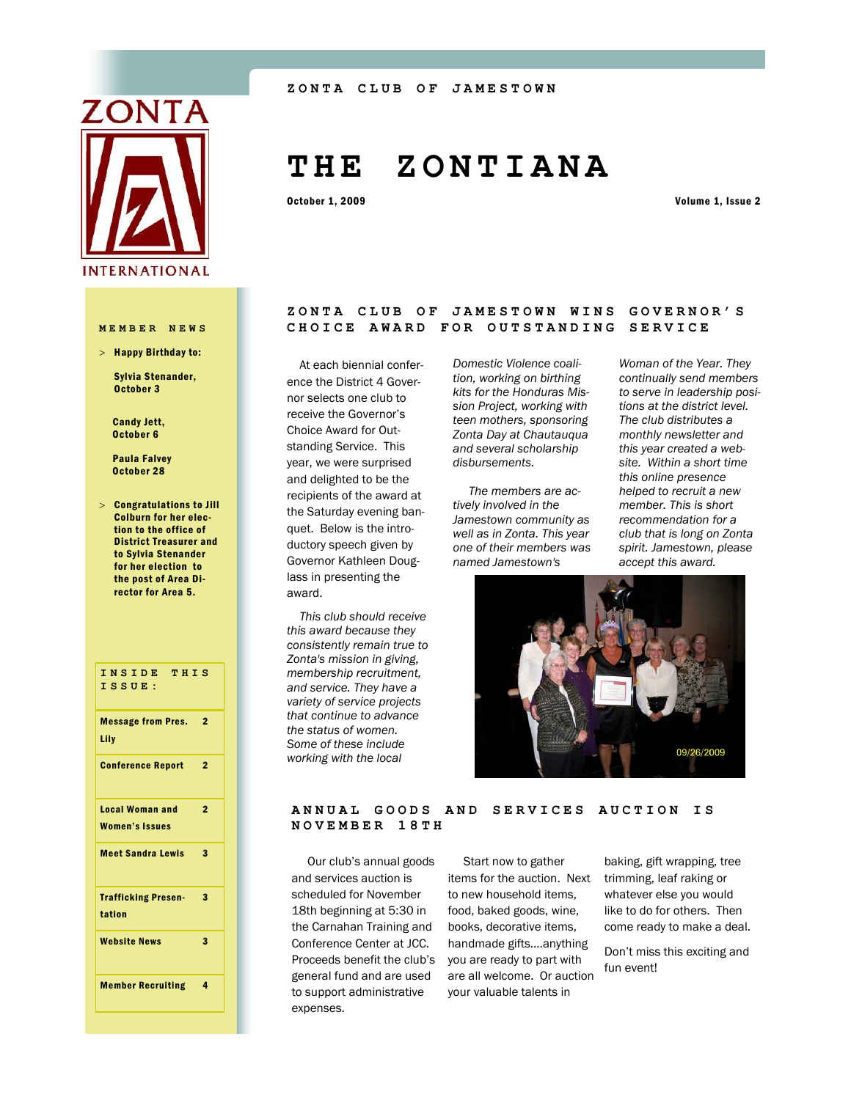

 $>$  Happy Birthday to:

Sylvia Stenander, October 3

 Candy Jett, October 6

 Paula Falvey October 28

 Congratulations to Jill Colburn for her election to the office of District Treasurer and to Sylvia Stenander for her election to the post of Area Director for Area 5.

## **INSIDE THIS ISSUE:** Message from Pres. 2 Lily Conference Report 2 Local Woman and Women's Issues  $\overline{2}$ Meet Sandra Lewis 3 Trafficking Presentation 3 Website News 3 Member Recruiting 4

# **T H E Z O N T I A N A**

October 1, 2009 Volume 1, Issue 2

#### **ZONTA CLUB OF JAMESTOWN WINS GOVERNOR'S MEMBER NEWS CHOICE AWARD FOR OUTSTANDING SERVICE**

 At each biennial conference the District 4 Governor selects one club to receive the Governor's Choice Award for Outstanding Service. This year, we were surprised and delighted to be the recipients of the award at the Saturday evening banquet. Below is the introductory speech given by Governor Kathleen Douglass in presenting the award.

 *This club should receive this award because they consistently remain true to Zonta's mission in giving, membership recruitment, and service. They have a variety of service projects that continue to advance the status of women. Some of these include working with the local* 

*Domestic Violence coalition, working on birthing kits for the Honduras Mission Project, working with teen mothers, sponsoring Zonta Day at Chautauqua and several scholarship disbursements.* 

 *The members are actively involved in the Jamestown community as well as in Zonta. This year one of their members was named Jamestown's* 

*Woman of the Year. They continually send members to serve in leadership positions at the district level. The club distributes a monthly newsletter and this year created a website. Within a short time this online presence helped to recruit a new member. This is short recommendation for a club that is long on Zonta spirit. Jamestown, please accept this award.*



#### ANNUAL GOODS AND SERVICES AUCTION IS **NOVEMBER 18TH**

 Our club's annual goods and services auction is scheduled for November 18th beginning at 5:30 in the Carnahan Training and Conference Center at JCC. Proceeds benefit the club's general fund and are used to support administrative expenses.

 Start now to gather items for the auction. Next to new household items, food, baked goods, wine, books, decorative items, handmade gifts….anything you are ready to part with are all welcome. Or auction your valuable talents in

baking, gift wrapping, tree trimming, leaf raking or whatever else you would like to do for others. Then come ready to make a deal.

Don't miss this exciting and fun event!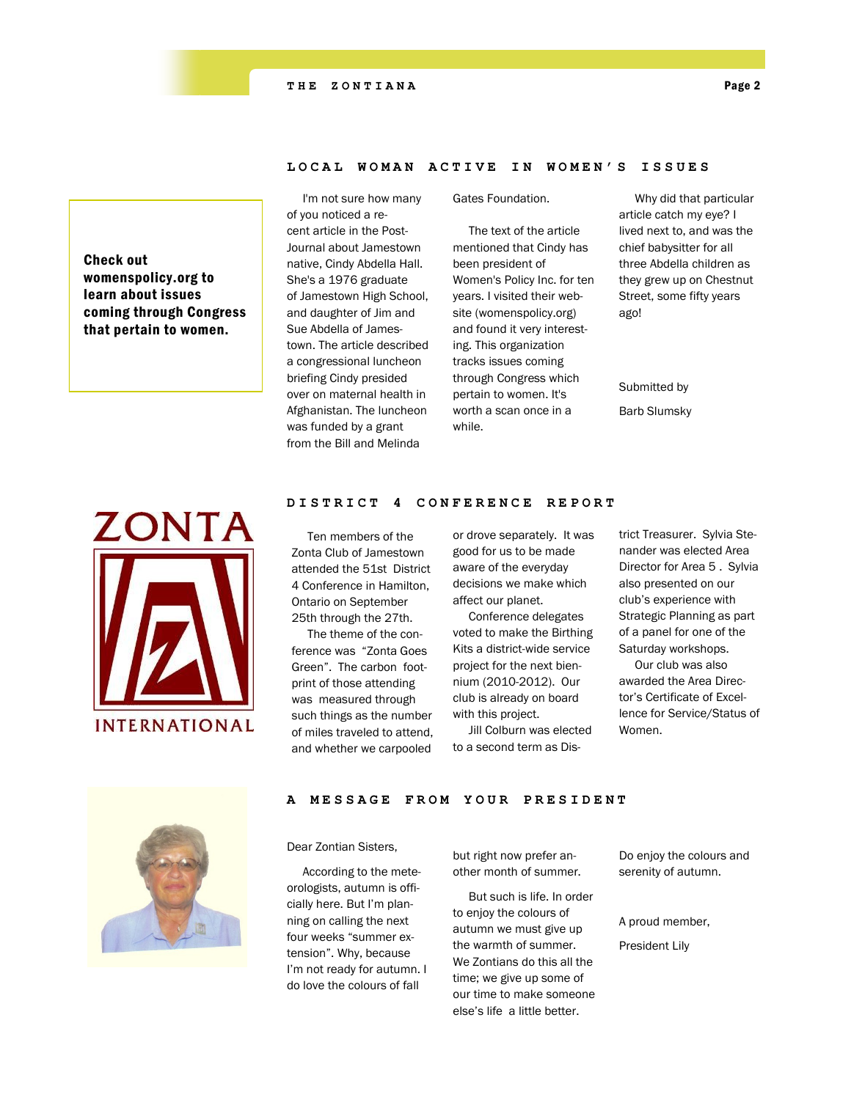#### LOCAL WOMAN ACTIVE IN WOMEN'S ISSUES

Check out womenspolicy.org to learn about issues coming through Congress that pertain to women.

 I'm not sure how many of you noticed a recent article in the Post-Journal about Jamestown native, Cindy Abdella Hall. She's a 1976 graduate of Jamestown High School, and daughter of Jim and Sue Abdella of Jamestown. The article described a congressional luncheon briefing Cindy presided over on maternal health in Afghanistan. The luncheon was funded by a grant from the Bill and Melinda

Gates Foundation.

 The text of the article mentioned that Cindy has been president of Women's Policy Inc. for ten years. I visited their website (womenspolicy.org) and found it very interesting. This organization tracks issues coming through Congress which pertain to women. It's worth a scan once in a while.

 Why did that particular article catch my eye? I lived next to, and was the chief babysitter for all three Abdella children as they grew up on Chestnut Street, some fifty years ago!

#### Submitted by

Barb Slumsky



### **DISTRICT 4 CONFERENCE REPORT**

 Ten members of the Zonta Club of Jamestown attended the 51st District 4 Conference in Hamilton, Ontario on September 25th through the 27th.

 The theme of the conference was "Zonta Goes Green". The carbon footprint of those attending was measured through such things as the number of miles traveled to attend, and whether we carpooled

or drove separately. It was good for us to be made aware of the everyday decisions we make which affect our planet.

 Conference delegates voted to make the Birthing Kits a district-wide service project for the next biennium (2010-2012). Our club is already on board with this project.

 Jill Colburn was elected to a second term as District Treasurer. Sylvia Stenander was elected Area Director for Area 5 . Sylvia also presented on our club's experience with Strategic Planning as part of a panel for one of the Saturday workshops.

 Our club was also awarded the Area Director's Certificate of Excellence for Service/Status of Women.



#### A MESSAGE FROM YOUR PRESIDENT

Dear Zontian Sisters,

 According to the meteorologists, autumn is officially here. But I'm planning on calling the next four weeks "summer extension". Why, because I'm not ready for autumn. I do love the colours of fall

but right now prefer another month of summer.

 But such is life. In order to enjoy the colours of autumn we must give up the warmth of summer. We Zontians do this all the time; we give up some of our time to make someone else's life a little better.

Do enjoy the colours and serenity of autumn.

A proud member,

President Lily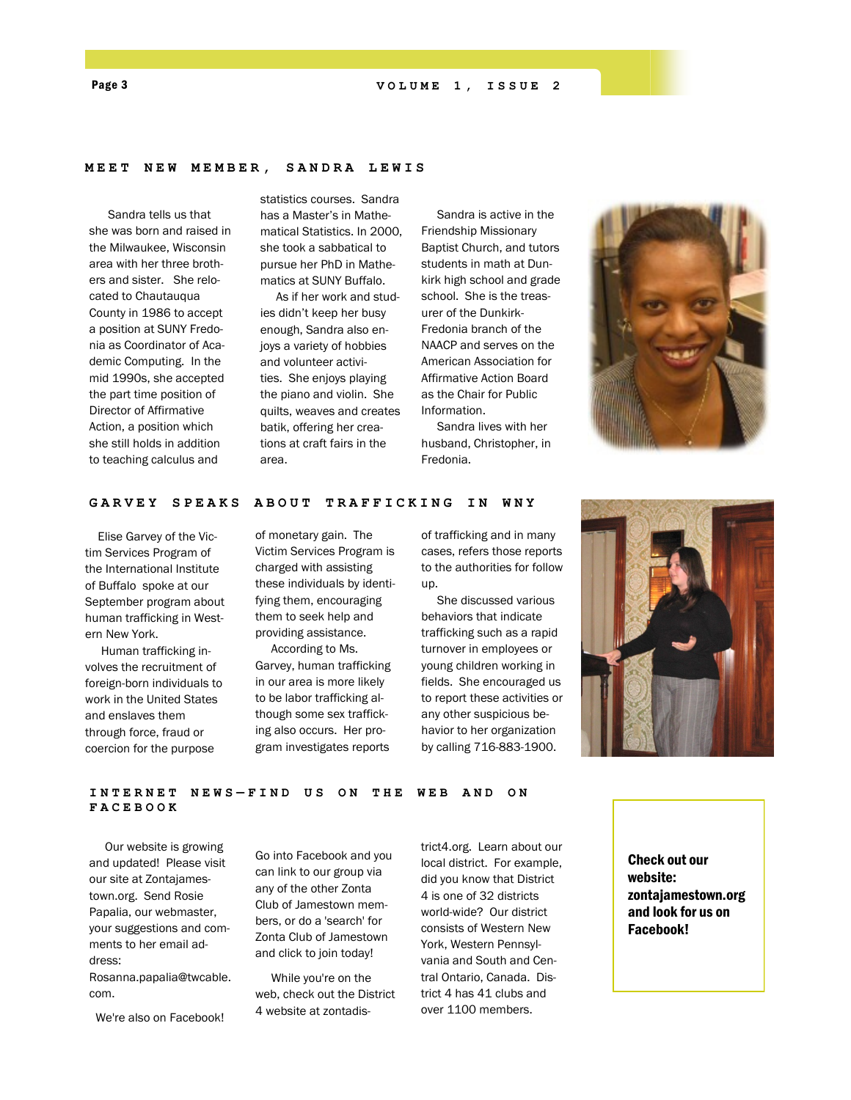#### **MEET NEW MEMBER, SANDRA LEWIS**

 Sandra tells us that she was born and raised in the Milwaukee, Wisconsin area with her three brothers and sister. She relocated to Chautauqua County in 1986 to accept a position at SUNY Fredonia as Coordinator of Academic Computing. In the mid 1990s, she accepted the part time position of Director of Affirmative Action, a position which she still holds in addition to teaching calculus and

statistics courses. Sandra has a Master's in Mathematical Statistics. In 2000, she took a sabbatical to pursue her PhD in Mathematics at SUNY Buffalo.

 As if her work and studies didn't keep her busy enough, Sandra also enjoys a variety of hobbies and volunteer activities. She enjoys playing the piano and violin. She quilts, weaves and creates batik, offering her creations at craft fairs in the area.

 Sandra is active in the Friendship Missionary Baptist Church, and tutors students in math at Dunkirk high school and grade school. She is the treasurer of the Dunkirk-Fredonia branch of the NAACP and serves on the American Association for Affirmative Action Board as the Chair for Public Information.

 Sandra lives with her husband, Christopher, in Fredonia.



#### GARVEY SPEAKS ABOUT TRAFFICKING IN WNY

 Elise Garvey of the Victim Services Program of the International Institute of Buffalo spoke at our September program about human trafficking in Western New York.

 Human trafficking involves the recruitment of foreign-born individuals to work in the United States and enslaves them through force, fraud or coercion for the purpose

of monetary gain. The Victim Services Program is charged with assisting these individuals by identifying them, encouraging them to seek help and providing assistance.

 According to Ms. Garvey, human trafficking in our area is more likely to be labor trafficking although some sex trafficking also occurs. Her program investigates reports

of trafficking and in many cases, refers those reports to the authorities for follow up.

 She discussed various behaviors that indicate trafficking such as a rapid turnover in employees or young children working in fields. She encouraged us to report these activities or any other suspicious behavior to her organization by calling 716-883-1900.



#### **INTERNET NEWS — F I N D U S O N T H E W E B A N D O N FACEBOOK**

 Our website is growing and updated! Please visit our site at Zontajamestown.org. Send Rosie Papalia, our webmaster, your suggestions and comments to her email address:

Rosanna.papalia@twcable. com.

We're also on Facebook!

Go into Facebook and you can link to our group via any of the other Zonta Club of Jamestown members, or do a 'search' for Zonta Club of Jamestown and click to join today!

 While you're on the web, check out the District 4 website at zontadistrict4.org. Learn about our local district. For example, did you know that District 4 is one of 32 districts world-wide? Our district consists of Western New York, Western Pennsylvania and South and Central Ontario, Canada. District 4 has 41 clubs and over 1100 members.

Check out our website: zontajamestown.org and look for us on Facebook!